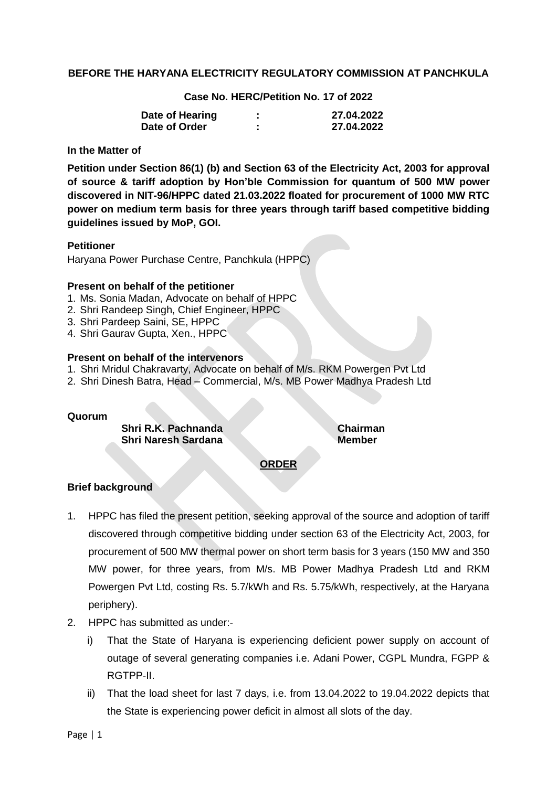## **BEFORE THE HARYANA ELECTRICITY REGULATORY COMMISSION AT PANCHKULA**

**Case No. HERC/Petition No. 17 of 2022**

| Date of Hearing | ٠<br>٠ | 27.04.2022 |
|-----------------|--------|------------|
| Date of Order   | ٠<br>۰ | 27.04.2022 |

## **In the Matter of**

**Petition under Section 86(1) (b) and Section 63 of the Electricity Act, 2003 for approval of source & tariff adoption by Hon'ble Commission for quantum of 500 MW power discovered in NIT-96/HPPC dated 21.03.2022 floated for procurement of 1000 MW RTC power on medium term basis for three years through tariff based competitive bidding guidelines issued by MoP, GOI.**

#### **Petitioner**

Haryana Power Purchase Centre, Panchkula (HPPC)

#### **Present on behalf of the petitioner**

- 1. Ms. Sonia Madan, Advocate on behalf of HPPC
- 2. Shri Randeep Singh, Chief Engineer, HPPC
- 3. Shri Pardeep Saini, SE, HPPC
- 4. Shri Gaurav Gupta, Xen., HPPC

## **Present on behalf of the intervenors**

- 1. Shri Mridul Chakravarty, Advocate on behalf of M/s. RKM Powergen Pvt Ltd
- 2. Shri Dinesh Batra, Head Commercial, M/s. MB Power Madhya Pradesh Ltd

#### **Quorum**

**Shri R.K. Pachnanda Chairman Shri Naresh Sardana Member** 

# **ORDER**

## **Brief background**

- 1. HPPC has filed the present petition, seeking approval of the source and adoption of tariff discovered through competitive bidding under section 63 of the Electricity Act, 2003, for procurement of 500 MW thermal power on short term basis for 3 years (150 MW and 350 MW power, for three years, from M/s. MB Power Madhya Pradesh Ltd and RKM Powergen Pvt Ltd, costing Rs. 5.7/kWh and Rs. 5.75/kWh, respectively, at the Haryana periphery).
- 2. HPPC has submitted as under:
	- i) That the State of Haryana is experiencing deficient power supply on account of outage of several generating companies i.e. Adani Power, CGPL Mundra, FGPP & RGTPP-II.
	- ii) That the load sheet for last 7 days, i.e. from 13.04.2022 to 19.04.2022 depicts that the State is experiencing power deficit in almost all slots of the day.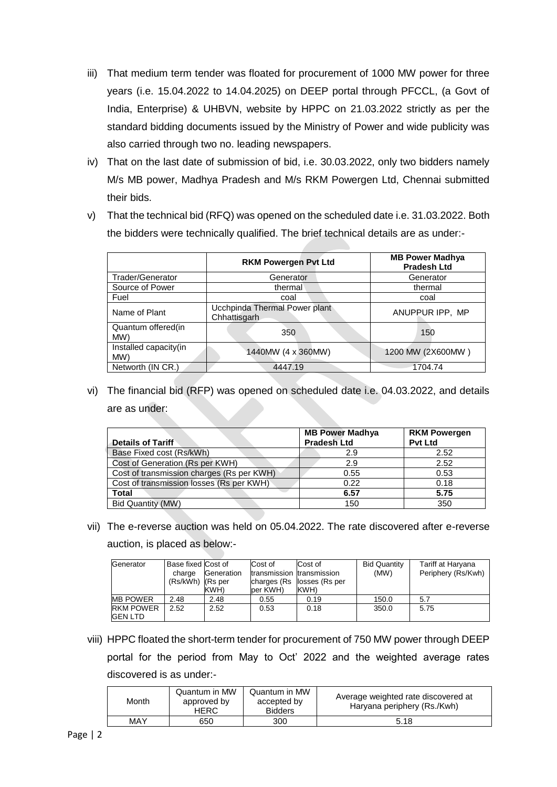- iii) That medium term tender was floated for procurement of 1000 MW power for three years (i.e. 15.04.2022 to 14.04.2025) on DEEP portal through PFCCL, (a Govt of India, Enterprise) & UHBVN, website by HPPC on 21.03.2022 strictly as per the standard bidding documents issued by the Ministry of Power and wide publicity was also carried through two no. leading newspapers.
- iv) That on the last date of submission of bid, i.e. 30.03.2022, only two bidders namely M/s MB power, Madhya Pradesh and M/s RKM Powergen Ltd, Chennai submitted their bids.
- v) That the technical bid (RFQ) was opened on the scheduled date i.e. 31.03.2022. Both the bidders were technically qualified. The brief technical details are as under:-

|                              | <b>RKM Powergen Pvt Ltd</b>                   | <b>MB Power Madhya</b><br><b>Pradesh Ltd</b> |
|------------------------------|-----------------------------------------------|----------------------------------------------|
| Trader/Generator             | Generator                                     | Generator                                    |
| Source of Power              | thermal                                       | thermal                                      |
| Fuel                         | coal                                          | coal                                         |
| Name of Plant                | Ucchpinda Thermal Power plant<br>Chhattisgarh | ANUPPUR IPP, MP                              |
| Quantum offered(in<br>MW)    | 350                                           | 150                                          |
| Installed capacity(in<br>MW) | 1440MW (4 x 360MW)                            | 1200 MW (2X600MW)                            |
| Networth (IN CR.)            | 4447.19                                       | 1704.74                                      |

vi) The financial bid (RFP) was opened on scheduled date i.e. 04.03.2022, and details are as under:

| <b>Details of Tariff</b>                  | <b>MB Power Madhya</b><br><b>Pradesh Ltd</b> | <b>RKM Powergen</b><br><b>Pvt Ltd</b> |
|-------------------------------------------|----------------------------------------------|---------------------------------------|
| Base Fixed cost (Rs/kWh)                  | 2.9                                          | 2.52                                  |
| Cost of Generation (Rs per KWH)           | 2.9                                          | 2.52                                  |
| Cost of transmission charges (Rs per KWH) | 0.55                                         | 0.53                                  |
| Cost of transmission losses (Rs per KWH)  | 0.22                                         | 0.18                                  |
| <b>Total</b>                              | 6.57                                         | 5.75                                  |
| Bid Quantity (MW)                         | 150                                          | 350                                   |

vii) The e-reverse auction was held on 05.04.2022. The rate discovered after e-reverse auction, is placed as below:-

| Generator                          | Base fixed Cost of    |            | Cost of                   | Cost of        | <b>Bid Quantity</b> | Tariff at Haryana  |
|------------------------------------|-----------------------|------------|---------------------------|----------------|---------------------|--------------------|
|                                    | charge                | Generation | transmission transmission |                | (MW)                | Periphery (Rs/Kwh) |
|                                    | $(Rs/kWh)$ $(Rs per)$ |            | charges (Rs               | losses (Rs per |                     |                    |
|                                    |                       | KWH)       | per KWH)                  | KWH)           |                     |                    |
| <b>MB POWER</b>                    | 2.48                  | 2.48       | 0.55                      | 0.19           | 150.0               | 5.7                |
| <b>RKM POWER</b><br><b>GEN LTD</b> | 2.52                  | 2.52       | 0.53                      | 0.18           | 350.0               | 5.75               |

viii) HPPC floated the short-term tender for procurement of 750 MW power through DEEP portal for the period from May to Oct' 2022 and the weighted average rates discovered is as under:-

| Month | Quantum in MW<br>approved by<br><b>HERC</b> | Quantum in MW<br>accepted by<br><b>Bidders</b> | Average weighted rate discovered at<br>Haryana periphery (Rs./Kwh) |
|-------|---------------------------------------------|------------------------------------------------|--------------------------------------------------------------------|
| MAY   | 650                                         | 300                                            | 5.18                                                               |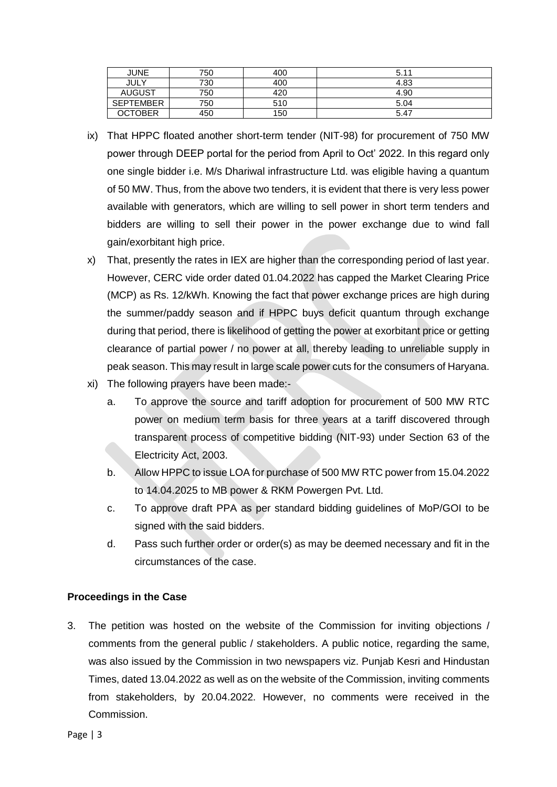| JUNE             | 750 | 400 | 5.11 |
|------------------|-----|-----|------|
| JULY             | 730 | 400 | 4.83 |
| <b>AUGUST</b>    | 750 | 420 | 4.90 |
| <b>SEPTEMBER</b> | 750 | 510 | 5.04 |
| OCTOBER          | 450 | 150 | 5.47 |

- ix) That HPPC floated another short-term tender (NIT-98) for procurement of 750 MW power through DEEP portal for the period from April to Oct' 2022. In this regard only one single bidder i.e. M/s Dhariwal infrastructure Ltd. was eligible having a quantum of 50 MW. Thus, from the above two tenders, it is evident that there is very less power available with generators, which are willing to sell power in short term tenders and bidders are willing to sell their power in the power exchange due to wind fall gain/exorbitant high price.
- x) That, presently the rates in IEX are higher than the corresponding period of last year. However, CERC vide order dated 01.04.2022 has capped the Market Clearing Price (MCP) as Rs. 12/kWh. Knowing the fact that power exchange prices are high during the summer/paddy season and if HPPC buys deficit quantum through exchange during that period, there is likelihood of getting the power at exorbitant price or getting clearance of partial power / no power at all, thereby leading to unreliable supply in peak season. This may result in large scale power cuts for the consumers of Haryana.
- xi) The following prayers have been made:
	- a. To approve the source and tariff adoption for procurement of 500 MW RTC power on medium term basis for three years at a tariff discovered through transparent process of competitive bidding (NIT-93) under Section 63 of the Electricity Act, 2003.
	- b. Allow HPPC to issue LOA for purchase of 500 MW RTC power from 15.04.2022 to 14.04.2025 to MB power & RKM Powergen Pvt. Ltd.
	- c. To approve draft PPA as per standard bidding guidelines of MoP/GOI to be signed with the said bidders.
	- d. Pass such further order or order(s) as may be deemed necessary and fit in the circumstances of the case.

# **Proceedings in the Case**

3. The petition was hosted on the website of the Commission for inviting objections / comments from the general public / stakeholders. A public notice, regarding the same, was also issued by the Commission in two newspapers viz. Punjab Kesri and Hindustan Times, dated 13.04.2022 as well as on the website of the Commission, inviting comments from stakeholders, by 20.04.2022. However, no comments were received in the Commission.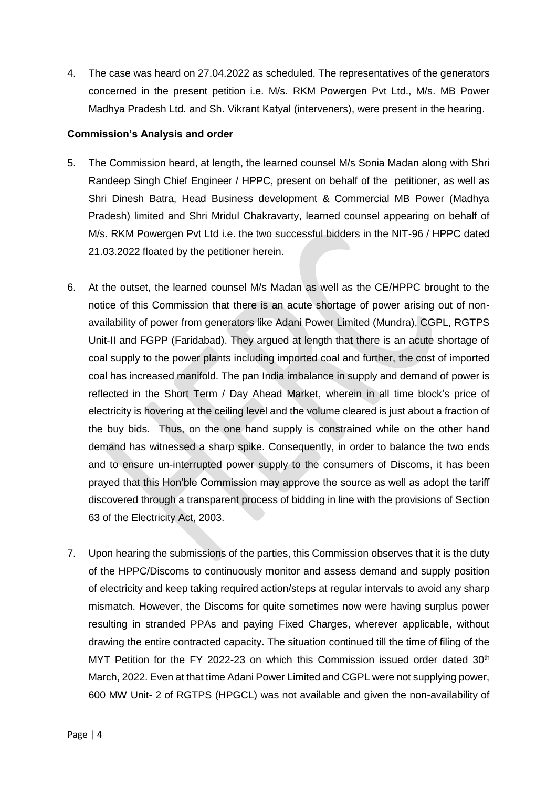4. The case was heard on 27.04.2022 as scheduled. The representatives of the generators concerned in the present petition i.e. M/s. RKM Powergen Pvt Ltd., M/s. MB Power Madhya Pradesh Ltd. and Sh. Vikrant Katyal (interveners), were present in the hearing.

## **Commission's Analysis and order**

- 5. The Commission heard, at length, the learned counsel M/s Sonia Madan along with Shri Randeep Singh Chief Engineer / HPPC, present on behalf of the petitioner, as well as Shri Dinesh Batra, Head Business development & Commercial MB Power (Madhya Pradesh) limited and Shri Mridul Chakravarty, learned counsel appearing on behalf of M/s. RKM Powergen Pvt Ltd i.e. the two successful bidders in the NIT-96 / HPPC dated 21.03.2022 floated by the petitioner herein.
- 6. At the outset, the learned counsel M/s Madan as well as the CE/HPPC brought to the notice of this Commission that there is an acute shortage of power arising out of nonavailability of power from generators like Adani Power Limited (Mundra), CGPL, RGTPS Unit-II and FGPP (Faridabad). They argued at length that there is an acute shortage of coal supply to the power plants including imported coal and further, the cost of imported coal has increased manifold. The pan India imbalance in supply and demand of power is reflected in the Short Term / Day Ahead Market, wherein in all time block's price of electricity is hovering at the ceiling level and the volume cleared is just about a fraction of the buy bids. Thus, on the one hand supply is constrained while on the other hand demand has witnessed a sharp spike. Consequently, in order to balance the two ends and to ensure un-interrupted power supply to the consumers of Discoms, it has been prayed that this Hon'ble Commission may approve the source as well as adopt the tariff discovered through a transparent process of bidding in line with the provisions of Section 63 of the Electricity Act, 2003.
- 7. Upon hearing the submissions of the parties, this Commission observes that it is the duty of the HPPC/Discoms to continuously monitor and assess demand and supply position of electricity and keep taking required action/steps at regular intervals to avoid any sharp mismatch. However, the Discoms for quite sometimes now were having surplus power resulting in stranded PPAs and paying Fixed Charges, wherever applicable, without drawing the entire contracted capacity. The situation continued till the time of filing of the MYT Petition for the FY 2022-23 on which this Commission issued order dated  $30<sup>th</sup>$ March, 2022. Even at that time Adani Power Limited and CGPL were not supplying power, 600 MW Unit- 2 of RGTPS (HPGCL) was not available and given the non-availability of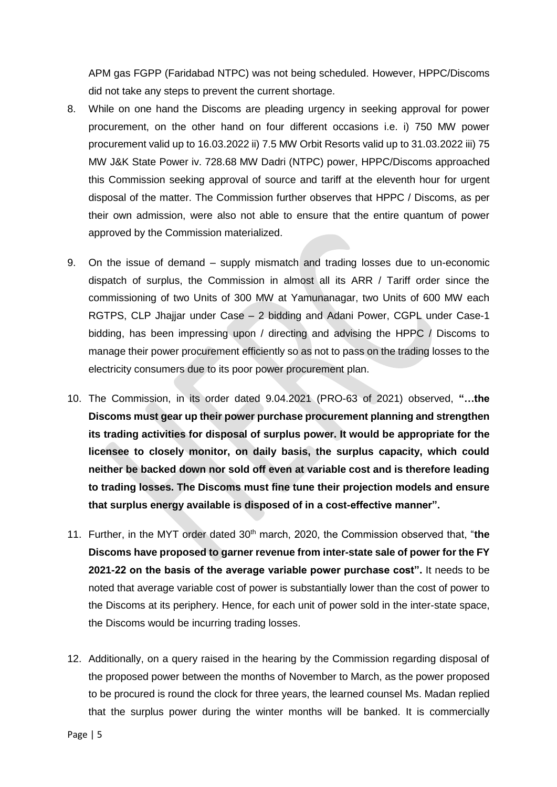APM gas FGPP (Faridabad NTPC) was not being scheduled. However, HPPC/Discoms did not take any steps to prevent the current shortage.

- 8. While on one hand the Discoms are pleading urgency in seeking approval for power procurement, on the other hand on four different occasions i.e. i) 750 MW power procurement valid up to 16.03.2022 ii) 7.5 MW Orbit Resorts valid up to 31.03.2022 iii) 75 MW J&K State Power iv. 728.68 MW Dadri (NTPC) power, HPPC/Discoms approached this Commission seeking approval of source and tariff at the eleventh hour for urgent disposal of the matter. The Commission further observes that HPPC / Discoms, as per their own admission, were also not able to ensure that the entire quantum of power approved by the Commission materialized.
- 9. On the issue of demand supply mismatch and trading losses due to un-economic dispatch of surplus, the Commission in almost all its ARR / Tariff order since the commissioning of two Units of 300 MW at Yamunanagar, two Units of 600 MW each RGTPS, CLP Jhajjar under Case – 2 bidding and Adani Power, CGPL under Case-1 bidding, has been impressing upon / directing and advising the HPPC / Discoms to manage their power procurement efficiently so as not to pass on the trading losses to the electricity consumers due to its poor power procurement plan.
- 10. The Commission, in its order dated 9.04.2021 (PRO-63 of 2021) observed, **"…the Discoms must gear up their power purchase procurement planning and strengthen its trading activities for disposal of surplus power. It would be appropriate for the licensee to closely monitor, on daily basis, the surplus capacity, which could neither be backed down nor sold off even at variable cost and is therefore leading to trading losses. The Discoms must fine tune their projection models and ensure that surplus energy available is disposed of in a cost-effective manner".**
- 11. Further, in the MYT order dated 30th march, 2020, the Commission observed that, "**the Discoms have proposed to garner revenue from inter-state sale of power for the FY 2021-22 on the basis of the average variable power purchase cost".** It needs to be noted that average variable cost of power is substantially lower than the cost of power to the Discoms at its periphery. Hence, for each unit of power sold in the inter-state space, the Discoms would be incurring trading losses.
- 12. Additionally, on a query raised in the hearing by the Commission regarding disposal of the proposed power between the months of November to March, as the power proposed to be procured is round the clock for three years, the learned counsel Ms. Madan replied that the surplus power during the winter months will be banked. It is commercially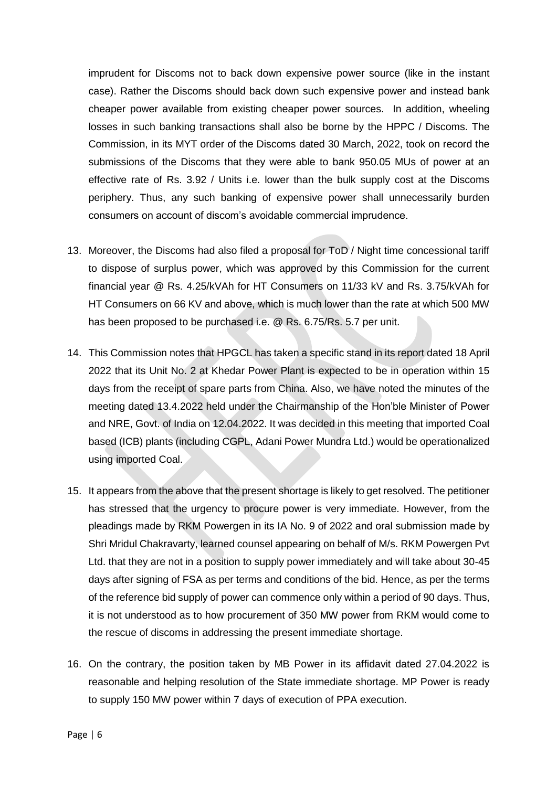imprudent for Discoms not to back down expensive power source (like in the instant case). Rather the Discoms should back down such expensive power and instead bank cheaper power available from existing cheaper power sources. In addition, wheeling losses in such banking transactions shall also be borne by the HPPC / Discoms. The Commission, in its MYT order of the Discoms dated 30 March, 2022, took on record the submissions of the Discoms that they were able to bank 950.05 MUs of power at an effective rate of Rs. 3.92 / Units i.e. lower than the bulk supply cost at the Discoms periphery. Thus, any such banking of expensive power shall unnecessarily burden consumers on account of discom's avoidable commercial imprudence.

- 13. Moreover, the Discoms had also filed a proposal for ToD / Night time concessional tariff to dispose of surplus power, which was approved by this Commission for the current financial year @ Rs. 4.25/kVAh for HT Consumers on 11/33 kV and Rs. 3.75/kVAh for HT Consumers on 66 KV and above, which is much lower than the rate at which 500 MW has been proposed to be purchased i.e. @ Rs. 6.75/Rs. 5.7 per unit.
- 14. This Commission notes that HPGCL has taken a specific stand in its report dated 18 April 2022 that its Unit No. 2 at Khedar Power Plant is expected to be in operation within 15 days from the receipt of spare parts from China. Also, we have noted the minutes of the meeting dated 13.4.2022 held under the Chairmanship of the Hon'ble Minister of Power and NRE, Govt. of India on 12.04.2022. It was decided in this meeting that imported Coal based (ICB) plants (including CGPL, Adani Power Mundra Ltd.) would be operationalized using imported Coal.
- 15. It appears from the above that the present shortage is likely to get resolved. The petitioner has stressed that the urgency to procure power is very immediate. However, from the pleadings made by RKM Powergen in its IA No. 9 of 2022 and oral submission made by Shri Mridul Chakravarty, learned counsel appearing on behalf of M/s. RKM Powergen Pvt Ltd. that they are not in a position to supply power immediately and will take about 30-45 days after signing of FSA as per terms and conditions of the bid. Hence, as per the terms of the reference bid supply of power can commence only within a period of 90 days. Thus, it is not understood as to how procurement of 350 MW power from RKM would come to the rescue of discoms in addressing the present immediate shortage.
- 16. On the contrary, the position taken by MB Power in its affidavit dated 27.04.2022 is reasonable and helping resolution of the State immediate shortage. MP Power is ready to supply 150 MW power within 7 days of execution of PPA execution.